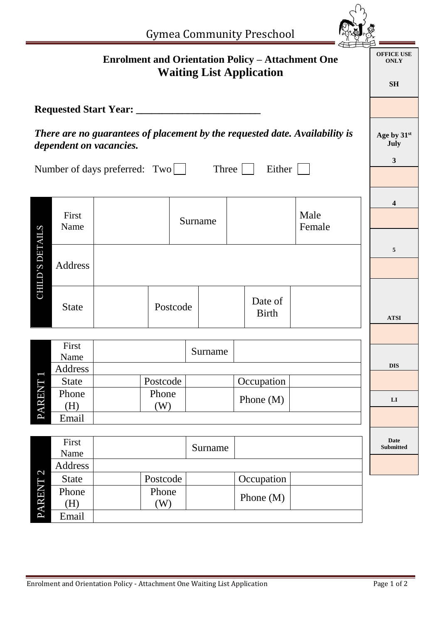|                                                                                                        |                                                                                             |                                     |                   |         |  | <b>Gymea Community Preschool</b> |                                     |                                               |                   |
|--------------------------------------------------------------------------------------------------------|---------------------------------------------------------------------------------------------|-------------------------------------|-------------------|---------|--|----------------------------------|-------------------------------------|-----------------------------------------------|-------------------|
|                                                                                                        | <b>Enrolment and Orientation Policy - Attachment One</b><br><b>Waiting List Application</b> |                                     |                   |         |  |                                  |                                     | <b>OFFICE USE</b><br><b>ONLY</b><br><b>SH</b> |                   |
|                                                                                                        |                                                                                             | <b>Requested Start Year:</b> ______ |                   |         |  |                                  |                                     |                                               |                   |
| There are no guarantees of placement by the requested date. Availability is<br>dependent on vacancies. |                                                                                             |                                     |                   |         |  |                                  | Age by 31st<br>July<br>$\mathbf{3}$ |                                               |                   |
|                                                                                                        | Number of days preferred: $Two \Box$<br>Three  <br>Either                                   |                                     |                   |         |  |                                  |                                     |                                               |                   |
|                                                                                                        |                                                                                             |                                     |                   |         |  |                                  | 4                                   |                                               |                   |
|                                                                                                        | First<br>Name                                                                               |                                     |                   | Surname |  |                                  | Male<br>Female                      |                                               |                   |
| <b>CHILD'S DETAILS</b>                                                                                 | <b>Address</b>                                                                              |                                     |                   |         |  |                                  |                                     |                                               | 5                 |
|                                                                                                        | <b>State</b>                                                                                |                                     | Postcode          |         |  | Date of<br><b>Birth</b>          |                                     |                                               | <b>ATSI</b>       |
|                                                                                                        |                                                                                             |                                     |                   |         |  |                                  |                                     |                                               |                   |
|                                                                                                        | First<br>Name                                                                               |                                     |                   | Surname |  |                                  |                                     |                                               |                   |
|                                                                                                        | Address                                                                                     |                                     |                   |         |  |                                  |                                     |                                               | <b>DIS</b>        |
| PARENT                                                                                                 | <b>State</b><br>Phone                                                                       |                                     | Postcode<br>Phone |         |  | Occupation                       |                                     |                                               |                   |
|                                                                                                        | (H)                                                                                         |                                     | (W)               |         |  | Phone $(M)$                      |                                     |                                               | ${\bf L}{\bf I}$  |
|                                                                                                        | Email                                                                                       |                                     |                   |         |  |                                  |                                     |                                               |                   |
| $\overline{\mathcal{C}}$<br><b>PARENT</b>                                                              | First<br>Name                                                                               |                                     |                   | Surname |  |                                  |                                     |                                               | Date<br>Submitted |
|                                                                                                        | Address                                                                                     |                                     |                   |         |  |                                  |                                     |                                               |                   |
|                                                                                                        | <b>State</b>                                                                                |                                     | Postcode          |         |  | Occupation                       |                                     |                                               |                   |
|                                                                                                        | Phone<br>(H)                                                                                |                                     | Phone<br>(W)      |         |  | Phone (M)                        |                                     |                                               |                   |
|                                                                                                        | Email                                                                                       |                                     |                   |         |  |                                  |                                     |                                               |                   |